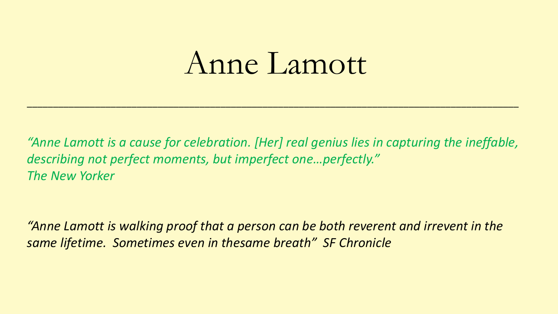## Anne Lamott

*"Anne Lamott is a cause for celebration. [Her] real genius lies in capturing the ineffable, describing not perfect moments, but imperfect one…perfectly." The New Yorker*

\_\_\_\_\_\_\_\_\_\_\_\_\_\_\_\_\_\_\_\_\_\_\_\_\_\_\_\_\_\_\_\_\_\_\_\_\_\_\_\_\_\_\_\_\_\_\_\_\_\_\_\_\_\_\_\_\_\_\_\_\_\_\_\_\_\_\_\_\_\_\_\_\_\_\_\_\_\_\_\_\_\_\_\_\_\_\_\_\_\_\_\_\_\_

*"Anne Lamott is walking proof that a person can be both reverent and irrevent in the same lifetime. Sometimes even in thesame breath" SF Chronicle*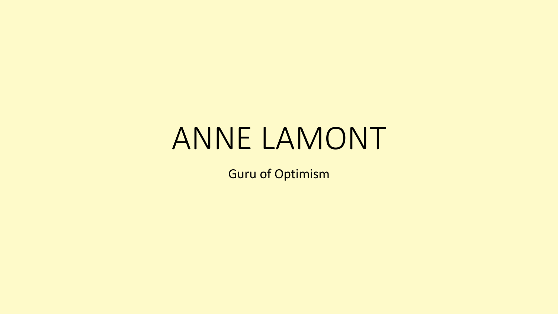## ANNE LAMONT

Guru of Optimism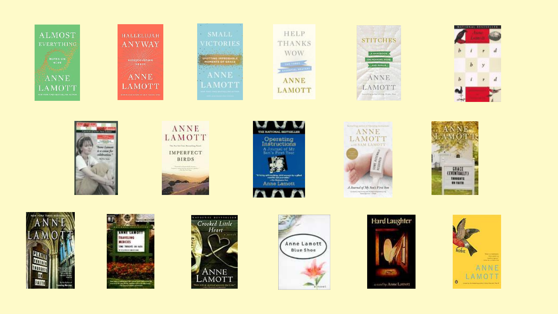

m











The first of the property and the first property from the Party.

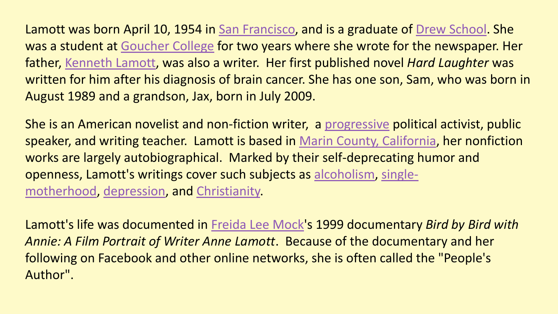Lamott was born April 10, 1954 in [San Francisco](https://en.wikipedia.org/wiki/San_Francisco), and is a graduate of [Drew School](https://en.wikipedia.org/wiki/Drew_School). She was a student at [Goucher College](https://en.wikipedia.org/wiki/Goucher_College) for two years where she wrote for the newspaper. Her father, [Kenneth Lamott,](https://en.wikipedia.org/wiki/Kenneth_Lamott) was also a writer. Her first published novel *Hard Laughter* was written for him after his diagnosis of brain cancer. She has one son, Sam, who was born in August 1989 and a grandson, Jax, born in July 2009.

She is an American novelist and non-fiction writer, a [progressive](https://en.wikipedia.org/wiki/Progressivism_in_the_United_States) political activist, public speaker, and writing teacher. Lamott is based in [Marin County, California](https://en.wikipedia.org/wiki/Marin_County,_California), her nonfiction works are largely autobiographical. Marked by their self-deprecating humor and [openness, Lamott's writings cover such subjects as](https://en.wikipedia.org/wiki/Single_parent) [alcoholism,](https://en.wikipedia.org/wiki/Alcoholism) singlemotherhood, [depression,](https://en.wikipedia.org/wiki/Clinical_depression) and [Christianity.](https://en.wikipedia.org/wiki/Christianity)

Lamott's life was documented in [Freida Lee Mock](https://en.wikipedia.org/wiki/Freida_Lee_Mock)'s 1999 documentary *Bird by Bird with Annie: A Film Portrait of Writer Anne Lamott*. Because of the documentary and her following on Facebook and other online networks, she is often called the "People's Author".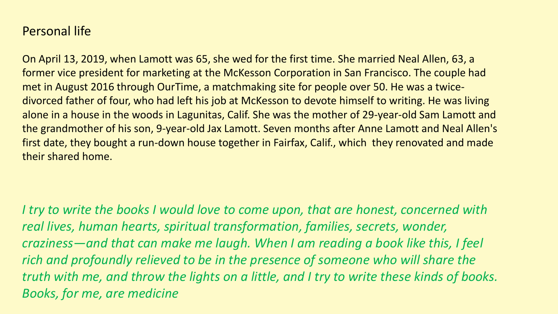## Personal life

On April 13, 2019, when Lamott was 65, she wed for the first time. She married Neal Allen, 63, a former vice president for marketing at the McKesson Corporation in San Francisco. The couple had met in August 2016 through OurTime, a matchmaking site for people over 50. He was a twicedivorced father of four, who had left his job at McKesson to devote himself to writing. He was living alone in a house in the woods in Lagunitas, Calif. She was the mother of 29-year-old Sam Lamott and the grandmother of his son, 9-year-old Jax Lamott. Seven months after Anne Lamott and Neal Allen's first date, they bought a run-down house together in Fairfax, Calif., which they renovated and made their shared home.

*I try to write the books I would love to come upon, that are honest, concerned with real lives, human hearts, spiritual transformation, families, secrets, wonder, craziness—and that can make me laugh. When I am reading a book like this, I feel rich and profoundly relieved to be in the presence of someone who will share the truth with me, and throw the lights on a little, and I try to write these kinds of books. Books, for me, are medicine*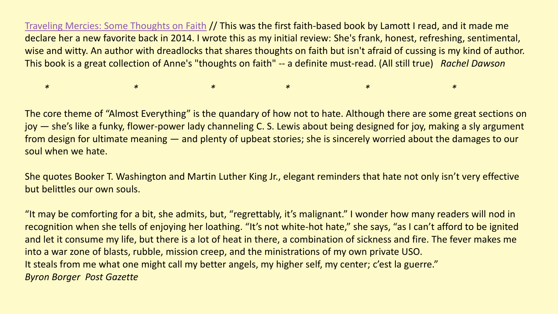[Traveling Mercies: Some Thoughts on Faith](http://amzn.to/2pwh83n) // This was the first faith-based book by Lamott I read, and it made me declare her a new favorite back in 2014. I wrote this as my initial review: She's frank, honest, refreshing, sentimental, wise and witty. An author with dreadlocks that shares thoughts on faith but isn't afraid of cussing is my kind of author. This book is a great collection of Anne's "thoughts on faith" -- a definite must-read. (All still true) *Rachel Dawson*

*\* \* \* \* \* \**

The core theme of "Almost Everything" is the quandary of how not to hate. Although there are some great sections on joy — she's like a funky, flower-power lady channeling C. S. Lewis about being designed for joy, making a sly argument from design for ultimate meaning — and plenty of upbeat stories; she is sincerely worried about the damages to our soul when we hate.

She quotes Booker T. Washington and Martin Luther King Jr., elegant reminders that hate not only isn't very effective but belittles our own souls.

"It may be comforting for a bit, she admits, but, "regrettably, it's malignant." I wonder how many readers will nod in recognition when she tells of enjoying her loathing. "It's not white-hot hate," she says, "as I can't afford to be ignited and let it consume my life, but there is a lot of heat in there, a combination of sickness and fire. The fever makes me into a war zone of blasts, rubble, mission creep, and the ministrations of my own private USO. It steals from me what one might call my better angels, my higher self, my center; c'est la guerre." *Byron Borger Post Gazette*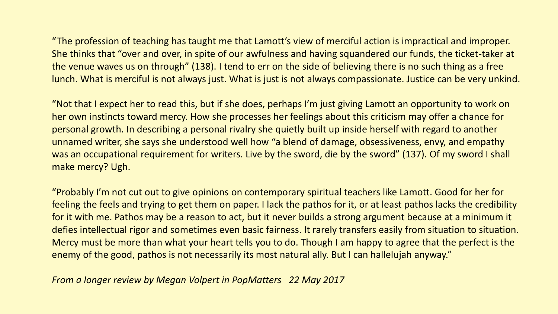"The profession of teaching has taught me that Lamott's view of merciful action is impractical and improper. She thinks that "over and over, in spite of our awfulness and having squandered our funds, the ticket-taker at the venue waves us on through" (138). I tend to err on the side of believing there is no such thing as a free lunch. What is merciful is not always just. What is just is not always compassionate. Justice can be very unkind.

"Not that I expect her to read this, but if she does, perhaps I'm just giving Lamott an opportunity to work on her own instincts toward mercy. How she processes her feelings about this criticism may offer a chance for personal growth. In describing a personal rivalry she quietly built up inside herself with regard to another unnamed writer, she says she understood well how "a blend of damage, obsessiveness, envy, and empathy was an occupational requirement for writers. Live by the sword, die by the sword" (137). Of my sword I shall make mercy? Ugh.

"Probably I'm not cut out to give opinions on contemporary spiritual teachers like Lamott. Good for her for feeling the feels and trying to get them on paper. I lack the pathos for it, or at least pathos lacks the credibility for it with me. Pathos may be a reason to act, but it never builds a strong argument because at a minimum it defies intellectual rigor and sometimes even basic fairness. It rarely transfers easily from situation to situation. Mercy must be more than what your heart tells you to do. Though I am happy to agree that the perfect is the enemy of the good, pathos is not necessarily its most natural ally. But I can hallelujah anyway."

*From a longer review by Megan Volpert in PopMatters 22 May 2017*